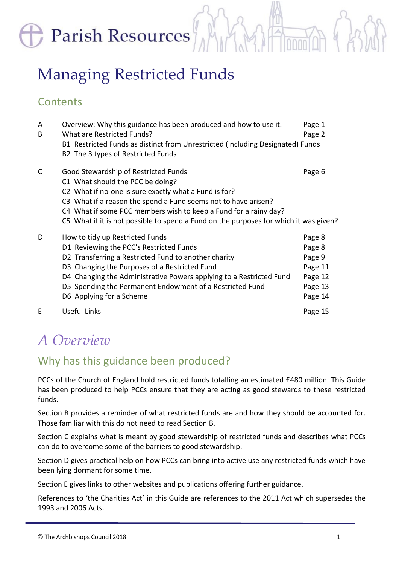Parish Resources

# Managing Restricted Funds

### **Contents**

| A<br>B | Overview: Why this guidance has been produced and how to use it.<br>What are Restricted Funds?                                                                                                                                                                                                                                                                   | Page 1<br>Page 2                                                       |
|--------|------------------------------------------------------------------------------------------------------------------------------------------------------------------------------------------------------------------------------------------------------------------------------------------------------------------------------------------------------------------|------------------------------------------------------------------------|
|        | B1 Restricted Funds as distinct from Unrestricted (including Designated) Funds<br>B2 The 3 types of Restricted Funds                                                                                                                                                                                                                                             |                                                                        |
| C      | Good Stewardship of Restricted Funds<br>C1 What should the PCC be doing?<br>C2 What if no-one is sure exactly what a Fund is for?<br>C3 What if a reason the spend a Fund seems not to have arisen?<br>C4 What if some PCC members wish to keep a Fund for a rainy day?<br>C5 What if it is not possible to spend a Fund on the purposes for which it was given? | Page 6                                                                 |
| D      | How to tidy up Restricted Funds<br>D1 Reviewing the PCC's Restricted Funds<br>D2 Transferring a Restricted Fund to another charity<br>D3 Changing the Purposes of a Restricted Fund<br>D4 Changing the Administrative Powers applying to a Restricted Fund<br>D5 Spending the Permanent Endowment of a Restricted Fund<br>D6 Applying for a Scheme               | Page 8<br>Page 8<br>Page 9<br>Page 11<br>Page 12<br>Page 13<br>Page 14 |
| F      | Useful Links                                                                                                                                                                                                                                                                                                                                                     | Page 15                                                                |

# *A Overview*

# Why has this guidance been produced?

PCCs of the Church of England hold restricted funds totalling an estimated £480 million. This Guide has been produced to help PCCs ensure that they are acting as good stewards to these restricted funds.

Section B provides a reminder of what restricted funds are and how they should be accounted for. Those familiar with this do not need to read Section B.

Section C explains what is meant by good stewardship of restricted funds and describes what PCCs can do to overcome some of the barriers to good stewardship.

Section D gives practical help on how PCCs can bring into active use any restricted funds which have been lying dormant for some time.

Section E gives links to other websites and publications offering further guidance.

References to 'the Charities Act' in this Guide are references to the 2011 Act which supersedes the 1993 and 2006 Acts.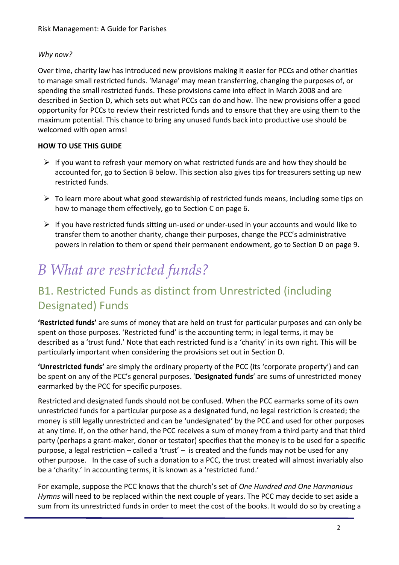### *Why now?*

Over time, charity law has introduced new provisions making it easier for PCCs and other charities to manage small restricted funds. 'Manage' may mean transferring, changing the purposes of, or spending the small restricted funds. These provisions came into effect in March 2008 and are described in Section D, which sets out what PCCs can do and how. The new provisions offer a good opportunity for PCCs to review their restricted funds and to ensure that they are using them to the maximum potential. This chance to bring any unused funds back into productive use should be welcomed with open arms!

### **HOW TO USE THIS GUIDE**

- $\triangleright$  If you want to refresh your memory on what restricted funds are and how they should be accounted for, go to Section B below. This section also gives tips for treasurers setting up new restricted funds.
- $\triangleright$  To learn more about what good stewardship of restricted funds means, including some tips on how to manage them effectively, go to Section C on page 6.
- $\triangleright$  If you have restricted funds sitting un-used or under-used in your accounts and would like to transfer them to another charity, change their purposes, change the PCC's administrative powers in relation to them or spend their permanent endowment, go to Section D on page 9.

# *B What are restricted funds?*

# B1. Restricted Funds as distinct from Unrestricted (including Designated) Funds

**'Restricted funds'** are sums of money that are held on trust for particular purposes and can only be spent on those purposes. 'Restricted fund' is the accounting term; in legal terms, it may be described as a 'trust fund.' Note that each restricted fund is a 'charity' in its own right. This will be particularly important when considering the provisions set out in Section D.

**'Unrestricted funds'** are simply the ordinary property of the PCC (its 'corporate property') and can be spent on any of the PCC's general purposes. '**Designated funds**' are sums of unrestricted money earmarked by the PCC for specific purposes.

Restricted and designated funds should not be confused. When the PCC earmarks some of its own unrestricted funds for a particular purpose as a designated fund, no legal restriction is created; the money is still legally unrestricted and can be 'undesignated' by the PCC and used for other purposes at any time. If, on the other hand, the PCC receives a sum of money from a third party and that third party (perhaps a grant-maker, donor or testator) specifies that the money is to be used for a specific purpose, a legal restriction – called a 'trust' – is created and the funds may not be used for any other purpose. In the case of such a donation to a PCC, the trust created will almost invariably also be a 'charity.' In accounting terms, it is known as a 'restricted fund.'

For example, suppose the PCC knows that the church's set of *One Hundred and One Harmonious Hymns* will need to be replaced within the next couple of years. The PCC may decide to set aside a sum from its unrestricted funds in order to meet the cost of the books. It would do so by creating a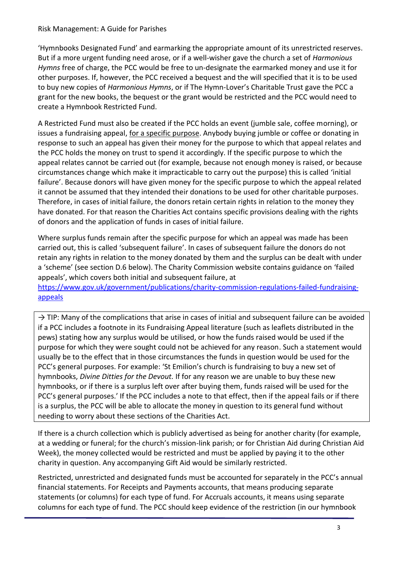'Hymnbooks Designated Fund' and earmarking the appropriate amount of its unrestricted reserves. But if a more urgent funding need arose, or if a well-wisher gave the church a set of *Harmonious Hymns* free of charge, the PCC would be free to un-designate the earmarked money and use it for other purposes. If, however, the PCC received a bequest and the will specified that it is to be used to buy new copies of *Harmonious Hymns*, or if The Hymn-Lover's Charitable Trust gave the PCC a grant for the new books, the bequest or the grant would be restricted and the PCC would need to create a Hymnbook Restricted Fund.

A Restricted Fund must also be created if the PCC holds an event (jumble sale, coffee morning), or issues a fundraising appeal, for a specific purpose. Anybody buying jumble or coffee or donating in response to such an appeal has given their money for the purpose to which that appeal relates and the PCC holds the money on trust to spend it accordingly. If the specific purpose to which the appeal relates cannot be carried out (for example, because not enough money is raised, or because circumstances change which make it impracticable to carry out the purpose) this is called 'initial failure'. Because donors will have given money for the specific purpose to which the appeal related it cannot be assumed that they intended their donations to be used for other charitable purposes. Therefore, in cases of initial failure, the donors retain certain rights in relation to the money they have donated. For that reason the Charities Act contains specific provisions dealing with the rights of donors and the application of funds in cases of initial failure.

Where surplus funds remain after the specific purpose for which an appeal was made has been carried out, this is called 'subsequent failure'. In cases of subsequent failure the donors do not retain any rights in relation to the money donated by them and the surplus can be dealt with under a 'scheme' (see section D.6 below). The Charity Commission website contains guidance on 'failed appeals', which covers both initial and subsequent failure, at

[https://www.gov.uk/government/publications/charity-commission-regulations-failed-fundraising](https://www.gov.uk/government/publications/charity-commission-regulations-failed-fundraising-appeals)[appeals](https://www.gov.uk/government/publications/charity-commission-regulations-failed-fundraising-appeals)

 $\rightarrow$  TIP: Many of the complications that arise in cases of initial and subsequent failure can be avoided if a PCC includes a footnote in its Fundraising Appeal literature (such as leaflets distributed in the pews) stating how any surplus would be utilised, or how the funds raised would be used if the purpose for which they were sought could not be achieved for any reason. Such a statement would usually be to the effect that in those circumstances the funds in question would be used for the PCC's general purposes. For example: 'St Emilion's church is fundraising to buy a new set of hymnbooks, *Divine Ditties for the Devout.* If for any reason we are unable to buy these new hymnbooks, or if there is a surplus left over after buying them, funds raised will be used for the PCC's general purposes.' If the PCC includes a note to that effect, then if the appeal fails or if there is a surplus, the PCC will be able to allocate the money in question to its general fund without needing to worry about these sections of the Charities Act.

If there is a church collection which is publicly advertised as being for another charity (for example, at a wedding or funeral; for the church's mission-link parish; or for Christian Aid during Christian Aid Week), the money collected would be restricted and must be applied by paying it to the other charity in question. Any accompanying Gift Aid would be similarly restricted.

Restricted, unrestricted and designated funds must be accounted for separately in the PCC's annual financial statements. For Receipts and Payments accounts, that means producing separate statements (or columns) for each type of fund. For Accruals accounts, it means using separate columns for each type of fund. The PCC should keep evidence of the restriction (in our hymnbook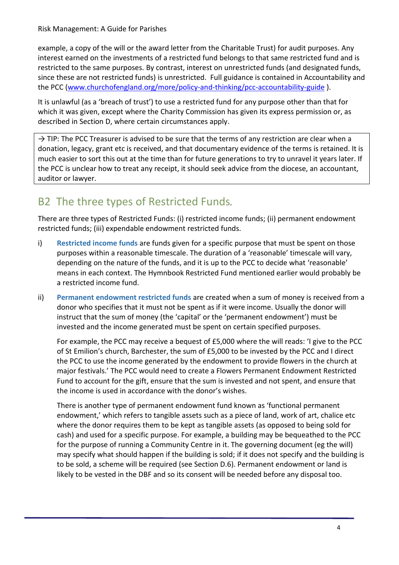example, a copy of the will or the award letter from the Charitable Trust) for audit purposes. Any interest earned on the investments of a restricted fund belongs to that same restricted fund and is restricted to the same purposes. By contrast, interest on unrestricted funds (and designated funds, since these are not restricted funds) is unrestricted. Full guidance is contained in Accountability and the PCC [\(www.churchofengland.org/more/policy-and-thinking/pcc-accountability-guide](http://www.churchofengland.org/more/policy-and-thinking/pcc-accountability-guide) ).

It is unlawful (as a 'breach of trust') to use a restricted fund for any purpose other than that for which it was given, except where the Charity Commission has given its express permission or, as described in Section D, where certain circumstances apply.

 $\rightarrow$  TIP: The PCC Treasurer is advised to be sure that the terms of any restriction are clear when a donation, legacy, grant etc is received, and that documentary evidence of the terms is retained. It is much easier to sort this out at the time than for future generations to try to unravel it years later. If the PCC is unclear how to treat any receipt, it should seek advice from the diocese, an accountant, auditor or lawyer.

# B2 The three types of Restricted Funds*.*

There are three types of Restricted Funds: (i) restricted income funds; (ii) permanent endowment restricted funds; (iii) expendable endowment restricted funds.

- i) **Restricted income funds** are funds given for a specific purpose that must be spent on those purposes within a reasonable timescale. The duration of a 'reasonable' timescale will vary, depending on the nature of the funds, and it is up to the PCC to decide what 'reasonable' means in each context. The Hymnbook Restricted Fund mentioned earlier would probably be a restricted income fund.
- ii) **Permanent endowment restricted funds** are created when a sum of money is received from a donor who specifies that it must not be spent as if it were income. Usually the donor will instruct that the sum of money (the 'capital' or the 'permanent endowment') must be invested and the income generated must be spent on certain specified purposes.

For example, the PCC may receive a bequest of £5,000 where the will reads: 'I give to the PCC of St Emilion's church, Barchester, the sum of £5,000 to be invested by the PCC and I direct the PCC to use the income generated by the endowment to provide flowers in the church at major festivals.' The PCC would need to create a Flowers Permanent Endowment Restricted Fund to account for the gift, ensure that the sum is invested and not spent, and ensure that the income is used in accordance with the donor's wishes.

There is another type of permanent endowment fund known as 'functional permanent endowment,' which refers to tangible assets such as a piece of land, work of art, chalice etc where the donor requires them to be kept as tangible assets (as opposed to being sold for cash) and used for a specific purpose. For example, a building may be bequeathed to the PCC for the purpose of running a Community Centre in it. The governing document (eg the will) may specify what should happen if the building is sold; if it does not specify and the building is to be sold, a scheme will be required (see Section D.6). Permanent endowment or land is likely to be vested in the DBF and so its consent will be needed before any disposal too.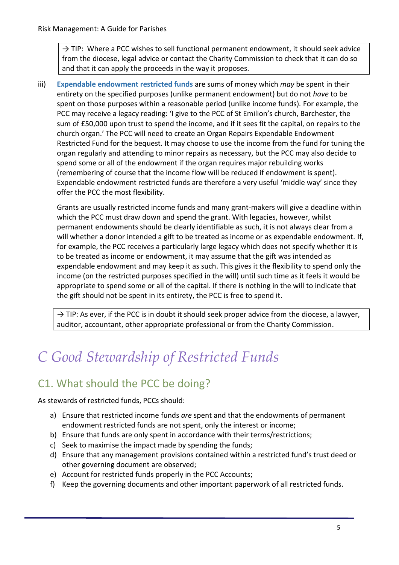$\rightarrow$  TIP: Where a PCC wishes to sell functional permanent endowment, it should seek advice from the diocese, legal advice or contact the Charity Commission to check that it can do so and that it can apply the proceeds in the way it proposes.

iii) **Expendable endowment restricted funds** are sums of money which *may* be spent in their entirety on the specified purposes (unlike permanent endowment) but do not *have* to be spent on those purposes within a reasonable period (unlike income funds). For example, the PCC may receive a legacy reading: 'I give to the PCC of St Emilion's church, Barchester, the sum of £50,000 upon trust to spend the income, and if it sees fit the capital, on repairs to the church organ.' The PCC will need to create an Organ Repairs Expendable Endowment Restricted Fund for the bequest. It may choose to use the income from the fund for tuning the organ regularly and attending to minor repairs as necessary, but the PCC may also decide to spend some or all of the endowment if the organ requires major rebuilding works (remembering of course that the income flow will be reduced if endowment is spent). Expendable endowment restricted funds are therefore a very useful 'middle way' since they offer the PCC the most flexibility.

Grants are usually restricted income funds and many grant-makers will give a deadline within which the PCC must draw down and spend the grant. With legacies, however, whilst permanent endowments should be clearly identifiable as such, it is not always clear from a will whether a donor intended a gift to be treated as income or as expendable endowment. If, for example, the PCC receives a particularly large legacy which does not specify whether it is to be treated as income or endowment, it may assume that the gift was intended as expendable endowment and may keep it as such. This gives it the flexibility to spend only the income (on the restricted purposes specified in the will) until such time as it feels it would be appropriate to spend some or all of the capital. If there is nothing in the will to indicate that the gift should not be spent in its entirety, the PCC is free to spend it.

 $\rightarrow$  TIP: As ever, if the PCC is in doubt it should seek proper advice from the diocese, a lawyer, auditor, accountant, other appropriate professional or from the Charity Commission.

# *C Good Stewardship of Restricted Funds*

# C1. What should the PCC be doing?

As stewards of restricted funds, PCCs should:

- a) Ensure that restricted income funds *are* spent and that the endowments of permanent endowment restricted funds are not spent, only the interest or income;
- b) Ensure that funds are only spent in accordance with their terms/restrictions;
- c) Seek to maximise the impact made by spending the funds;
- d) Ensure that any management provisions contained within a restricted fund's trust deed or other governing document are observed;
- e) Account for restricted funds properly in the PCC Accounts;
- f) Keep the governing documents and other important paperwork of all restricted funds.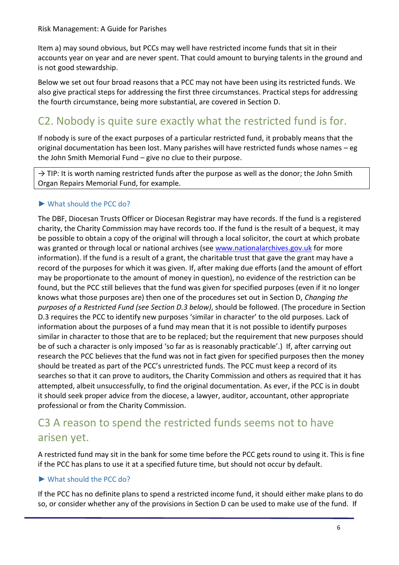Item a) may sound obvious, but PCCs may well have restricted income funds that sit in their accounts year on year and are never spent. That could amount to burying talents in the ground and is not good stewardship.

Below we set out four broad reasons that a PCC may not have been using its restricted funds. We also give practical steps for addressing the first three circumstances. Practical steps for addressing the fourth circumstance, being more substantial, are covered in Section D.

# C2. Nobody is quite sure exactly what the restricted fund is for.

If nobody is sure of the exact purposes of a particular restricted fund, it probably means that the original documentation has been lost. Many parishes will have restricted funds whose names – eg the John Smith Memorial Fund – give no clue to their purpose.

 $\rightarrow$  TIP: It is worth naming restricted funds after the purpose as well as the donor; the John Smith Organ Repairs Memorial Fund, for example.

### ► What should the PCC do?

The DBF, Diocesan Trusts Officer or Diocesan Registrar may have records. If the fund is a registered charity, the Charity Commission may have records too. If the fund is the result of a bequest, it may be possible to obtain a copy of the original will through a local solicitor, the court at which probate was granted or through local or national archives (see [www.nationalarchives.gov.uk](http://www.nationalarchives.gov.uk/) for more information). If the fund is a result of a grant, the charitable trust that gave the grant may have a record of the purposes for which it was given. If, after making due efforts (and the amount of effort may be proportionate to the amount of money in question), no evidence of the restriction can be found, but the PCC still believes that the fund was given for specified purposes (even if it no longer knows what those purposes are) then one of the procedures set out in Section D, *Changing the purposes of a Restricted Fund (see Section D.3 below)*, should be followed. (The procedure in Section D.3 requires the PCC to identify new purposes 'similar in character' to the old purposes. Lack of information about the purposes of a fund may mean that it is not possible to identify purposes similar in character to those that are to be replaced; but the requirement that new purposes should be of such a character is only imposed 'so far as is reasonably practicable'.) If, after carrying out research the PCC believes that the fund was not in fact given for specified purposes then the money should be treated as part of the PCC's unrestricted funds. The PCC must keep a record of its searches so that it can prove to auditors, the Charity Commission and others as required that it has attempted, albeit unsuccessfully, to find the original documentation. As ever, if the PCC is in doubt it should seek proper advice from the diocese, a lawyer, auditor, accountant, other appropriate professional or from the Charity Commission.

### C3 A reason to spend the restricted funds seems not to have arisen yet.

A restricted fund may sit in the bank for some time before the PCC gets round to using it. This is fine if the PCC has plans to use it at a specified future time, but should not occur by default.

#### ► What should the PCC do?

If the PCC has no definite plans to spend a restricted income fund, it should either make plans to do so, or consider whether any of the provisions in Section D can be used to make use of the fund. If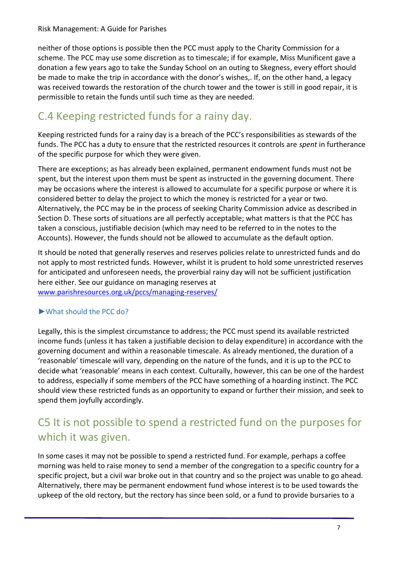neither of those options is possible then the PCC must apply to the Charity Commission for a scheme. The PCC may use some discretion as to timescale; if for example, Miss Munificent gave a donation a few years ago to take the Sunday School on an outing to Skegness, every effort should be made to make the trip in accordance with the donor's wishes,. If, on the other hand, a legacy was received towards the restoration of the church tower and the tower is still in good repair, it is permissible to retain the funds until such time as they are needed.

# C.4 Keeping restricted funds for a rainy day.

Keeping restricted funds for a rainy day is a breach of the PCC's responsibilities as stewards of the funds. The PCC has a duty to ensure that the restricted resources it controls are *spent* in furtherance of the specific purpose for which they were given.

There are exceptions; as has already been explained, permanent endowment funds must not be spent, but the interest upon them must be spent as instructed in the governing document. There may be occasions where the interest is allowed to accumulate for a specific purpose or where it is considered better to delay the project to which the money is restricted for a year or two. Alternatively, the PCC may be in the process of seeking Charity Commission advice as described in Section D. These sorts of situations are all perfectly acceptable; what matters is that the PCC has taken a conscious, justifiable decision (which may need to be referred to in the notes to the Accounts). However, the funds should not be allowed to accumulate as the default option.

It should be noted that generally reserves and reserves policies relate to unrestricted funds and do not apply to most restricted funds. However, whilst it is prudent to hold some unrestricted reserves for anticipated and unforeseen needs, the proverbial rainy day will not be sufficient justification here either. See our guidance on managing reserves at [www.parishresources.org.uk/pccs/managing-reserves/](http://www.parishresources.org.uk/pccs/managing-reserves/)

►What should the PCC do?

# Legally, this is the simplest circumstance to address; the PCC must spend its available restricted income funds (unless it has taken a justifiable decision to delay expenditure) in accordance with the governing document and within a reasonable timescale. As already mentioned, the duration of a

'reasonable' timescale will vary, depending on the nature of the funds, and it is up to the PCC to decide what 'reasonable' means in each context. Culturally, however, this can be one of the hardest to address, especially if some members of the PCC have something of a hoarding instinct. The PCC should view these restricted funds as an opportunity to expand or further their mission, and seek to spend them joyfully accordingly.

# C5 It is not possible to spend a restricted fund on the purposes for which it was given.

In some cases it may not be possible to spend a restricted fund. For example, perhaps a coffee morning was held to raise money to send a member of the congregation to a specific country for a specific project, but a civil war broke out in that country and so the project was unable to go ahead. Alternatively, there may be permanent endowment fund whose interest is to be used towards the upkeep of the old rectory, but the rectory has since been sold, or a fund to provide bursaries to a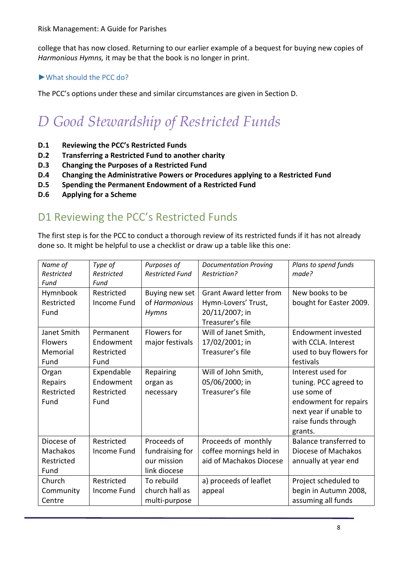college that has now closed. Returning to our earlier example of a bequest for buying new copies of *Harmonious Hymns,* it may be that the book is no longer in print.

### ►What should the PCC do?

The PCC's options under these and similar circumstances are given in Section D.

# *D Good Stewardship of Restricted Funds*

- **D.1 Reviewing the PCC's Restricted Funds**
- **D.2 Transferring a Restricted Fund to another charity**
- **D.3 Changing the Purposes of a Restricted Fund**
- **D.4 Changing the Administrative Powers or Procedures applying to a Restricted Fund**
- **D.5 Spending the Permanent Endowment of a Restricted Fund**
- **D.6 Applying for a Scheme**

### D1 Reviewing the PCC's Restricted Funds

The first step is for the PCC to conduct a thorough review of its restricted funds if it has not already done so. It might be helpful to use a checklist or draw up a table like this one:

| Name of<br>Restricted<br>Fund                       | Type of<br>Restricted<br>Fund                 | Purposes of<br><b>Restricted Fund</b>                         | <b>Documentation Proving</b><br>Restriction?                                                | Plans to spend funds<br>made?                                                                                                                  |
|-----------------------------------------------------|-----------------------------------------------|---------------------------------------------------------------|---------------------------------------------------------------------------------------------|------------------------------------------------------------------------------------------------------------------------------------------------|
| Hymnbook<br>Restricted<br>Fund                      | Restricted<br>Income Fund                     | Buying new set<br>of Harmonious<br><b>Hymns</b>               | <b>Grant Award letter from</b><br>Hymn-Lovers' Trust,<br>20/11/2007; in<br>Treasurer's file | New books to be<br>bought for Easter 2009.                                                                                                     |
| Janet Smith<br><b>Flowers</b><br>Memorial<br>Fund   | Permanent<br>Endowment<br>Restricted<br>Fund  | Flowers for<br>major festivals                                | Will of Janet Smith,<br>17/02/2001; in<br>Treasurer's file                                  | Endowment invested<br>with CCLA. Interest<br>used to buy flowers for<br>festivals                                                              |
| Organ<br>Repairs<br>Restricted<br>Fund              | Expendable<br>Endowment<br>Restricted<br>Fund | Repairing<br>organ as<br>necessary                            | Will of John Smith,<br>05/06/2000; in<br>Treasurer's file                                   | Interest used for<br>tuning. PCC agreed to<br>use some of<br>endowment for repairs<br>next year if unable to<br>raise funds through<br>grants. |
| Diocese of<br><b>Machakos</b><br>Restricted<br>Fund | Restricted<br><b>Income Fund</b>              | Proceeds of<br>fundraising for<br>our mission<br>link diocese | Proceeds of monthly<br>coffee mornings held in<br>aid of Machakos Diocese                   | Balance transferred to<br>Diocese of Machakos<br>annually at year end                                                                          |
| Church<br>Community<br>Centre                       | Restricted<br>Income Fund                     | To rebuild<br>church hall as<br>multi-purpose                 | a) proceeds of leaflet<br>appeal                                                            | Project scheduled to<br>begin in Autumn 2008,<br>assuming all funds                                                                            |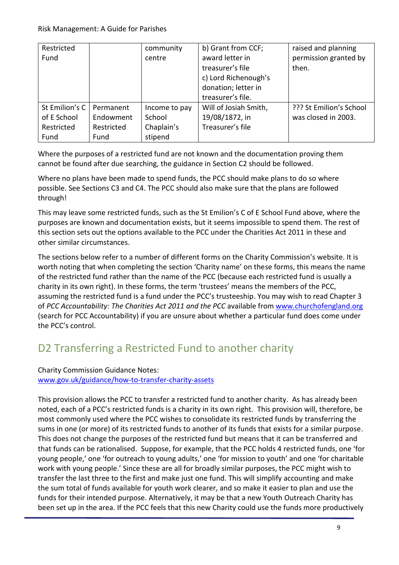| Restricted<br>Fund |            | community<br>centre | b) Grant from CCF;<br>award letter in<br>treasurer's file<br>c) Lord Richenough's<br>donation; letter in<br>treasurer's file. | raised and planning<br>permission granted by<br>then. |
|--------------------|------------|---------------------|-------------------------------------------------------------------------------------------------------------------------------|-------------------------------------------------------|
| St Emilion's C     | Permanent  | Income to pay       | Will of Josiah Smith,                                                                                                         | ??? St Emilion's School                               |
| of E School        | Endowment  | School              | 19/08/1872, in                                                                                                                | was closed in 2003.                                   |
| Restricted         | Restricted | Chaplain's          | Treasurer's file                                                                                                              |                                                       |
| Fund               | Fund       | stipend             |                                                                                                                               |                                                       |

Where the purposes of a restricted fund are not known and the documentation proving them cannot be found after due searching, the guidance in Section C2 should be followed.

Where no plans have been made to spend funds, the PCC should make plans to do so where possible. See Sections C3 and C4. The PCC should also make sure that the plans are followed through!

This may leave some restricted funds, such as the St Emilion's C of E School Fund above, where the purposes are known and documentation exists, but it seems impossible to spend them. The rest of this section sets out the options available to the PCC under the Charities Act 2011 in these and other similar circumstances.

The sections below refer to a number of different forms on the Charity Commission's website. It is worth noting that when completing the section 'Charity name' on these forms, this means the name of the restricted fund rather than the name of the PCC (because each restricted fund is usually a charity in its own right). In these forms, the term 'trustees' means the members of the PCC, assuming the restricted fund is a fund under the PCC's trusteeship. You may wish to read Chapter 3 of *PCC Accountability: The Charities Act 2011 and the PCC* available from [www.churchofengland.org](http://www.churchofengland.org/) (search for PCC Accountability) if you are unsure about whether a particular fund does come under the PCC's control.

### D2 Transferring a Restricted Fund to another charity

Charity Commission Guidance Notes: [www.gov.uk/guidance/how-to-transfer-charity-assets](http://www.gov.uk/guidance/how-to-transfer-charity-assets)

This provision allows the PCC to transfer a restricted fund to another charity. As has already been noted, each of a PCC's restricted funds is a charity in its own right. This provision will, therefore, be most commonly used where the PCC wishes to consolidate its restricted funds by transferring the sums in one (or more) of its restricted funds to another of its funds that exists for a similar purpose. This does not change the purposes of the restricted fund but means that it can be transferred and that funds can be rationalised. Suppose, for example, that the PCC holds 4 restricted funds, one 'for young people,' one 'for outreach to young adults,' one 'for mission to youth' and one 'for charitable work with young people.' Since these are all for broadly similar purposes, the PCC might wish to transfer the last three to the first and make just one fund. This will simplify accounting and make the sum total of funds available for youth work clearer, and so make it easier to plan and use the funds for their intended purpose. Alternatively, it may be that a new Youth Outreach Charity has been set up in the area. If the PCC feels that this new Charity could use the funds more productively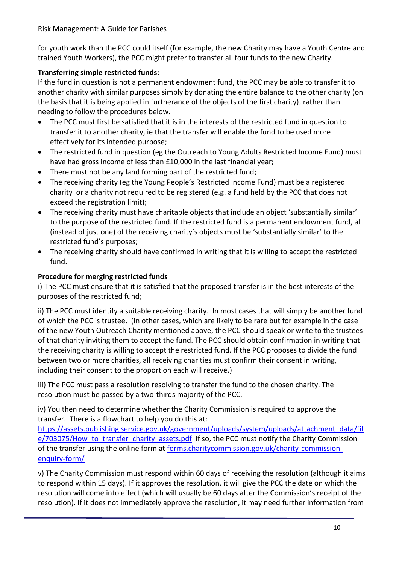for youth work than the PCC could itself (for example, the new Charity may have a Youth Centre and trained Youth Workers), the PCC might prefer to transfer all four funds to the new Charity.

### **Transferring simple restricted funds:**

If the fund in question is not a permanent endowment fund, the PCC may be able to transfer it to another charity with similar purposes simply by donating the entire balance to the other charity (on the basis that it is being applied in furtherance of the objects of the first charity), rather than needing to follow the procedures below.

- The PCC must first be satisfied that it is in the interests of the restricted fund in question to transfer it to another charity, ie that the transfer will enable the fund to be used more effectively for its intended purpose;
- The restricted fund in question (eg the Outreach to Young Adults Restricted Income Fund) must have had gross income of less than £10,000 in the last financial year;
- There must not be any land forming part of the restricted fund;
- The receiving charity (eg the Young People's Restricted Income Fund) must be a registered charity or a charity not required to be registered (e.g. a fund held by the PCC that does not exceed the registration limit);
- The receiving charity must have charitable objects that include an object 'substantially similar' to the purpose of the restricted fund. If the restricted fund is a permanent endowment fund, all (instead of just one) of the receiving charity's objects must be 'substantially similar' to the restricted fund's purposes;
- The receiving charity should have confirmed in writing that it is willing to accept the restricted fund.

### **Procedure for merging restricted funds**

i) The PCC must ensure that it is satisfied that the proposed transfer is in the best interests of the purposes of the restricted fund;

ii) The PCC must identify a suitable receiving charity. In most cases that will simply be another fund of which the PCC is trustee. (In other cases, which are likely to be rare but for example in the case of the new Youth Outreach Charity mentioned above, the PCC should speak or write to the trustees of that charity inviting them to accept the fund. The PCC should obtain confirmation in writing that the receiving charity is willing to accept the restricted fund. If the PCC proposes to divide the fund between two or more charities, all receiving charities must confirm their consent in writing, including their consent to the proportion each will receive.)

iii) The PCC must pass a resolution resolving to transfer the fund to the chosen charity. The resolution must be passed by a two-thirds majority of the PCC.

iv) You then need to determine whether the Charity Commission is required to approve the transfer. There is a flowchart to help you do this at:

[https://assets.publishing.service.gov.uk/government/uploads/system/uploads/attachment\\_data/fil](https://assets.publishing.service.gov.uk/government/uploads/system/uploads/attachment_data/file/703075/How_to_transfer_charity_assets.pdf) e/703075/How to transfer charity assets.pdf If so, the PCC must notify the Charity Commission of the transfer using the online form at [forms.charitycommission.gov.uk/charity-commission](https://forms.charitycommission.gov.uk/charity-commission-enquiry-form/)[enquiry-form/](https://forms.charitycommission.gov.uk/charity-commission-enquiry-form/)

v) The Charity Commission must respond within 60 days of receiving the resolution (although it aims to respond within 15 days). If it approves the resolution, it will give the PCC the date on which the resolution will come into effect (which will usually be 60 days after the Commission's receipt of the resolution). If it does not immediately approve the resolution, it may need further information from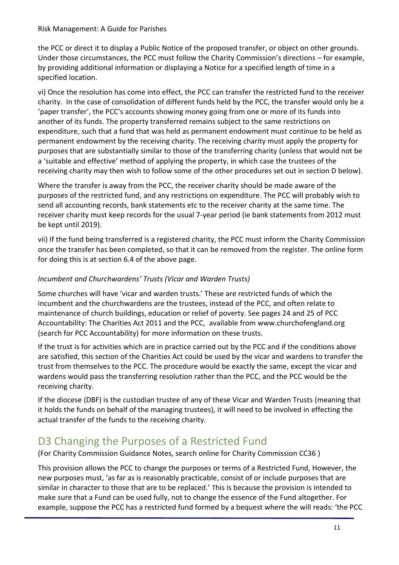the PCC or direct it to display a Public Notice of the proposed transfer, or object on other grounds. Under those circumstances, the PCC must follow the Charity Commission's directions – for example, by providing additional information or displaying a Notice for a specified length of time in a specified location.

vi) Once the resolution has come into effect, the PCC can transfer the restricted fund to the receiver charity. In the case of consolidation of different funds held by the PCC, the transfer would only be a 'paper transfer', the PCC's accounts showing money going from one or more of its funds into another of its funds. The property transferred remains subject to the same restrictions on expenditure, such that a fund that was held as permanent endowment must continue to be held as permanent endowment by the receiving charity. The receiving charity must apply the property for purposes that are substantially similar to those of the transferring charity (unless that would not be a 'suitable and effective' method of applying the property, in which case the trustees of the receiving charity may then wish to follow some of the other procedures set out in section D below).

Where the transfer is away from the PCC, the receiver charity should be made aware of the purposes of the restricted fund, and any restrictions on expenditure. The PCC will probably wish to send all accounting records, bank statements etc to the receiver charity at the same time. The receiver charity must keep records for the usual 7-year period (ie bank statements from 2012 must be kept until 2019).

vii) If the fund being transferred is a registered charity, the PCC must inform the Charity Commission once the transfer has been completed, so that it can be removed from the register. The online form for doing this is at section 6.4 of the above page.

### *Incumbent and Churchwardens' Trusts (Vicar and Warden Trusts)*

Some churches will have 'vicar and warden trusts.' These are restricted funds of which the incumbent and the churchwardens are the trustees, instead of the PCC, and often relate to maintenance of church buildings, education or relief of poverty. See pages 24 and 25 of PCC Accountability: The Charities Act 2011 and the PCC, available from www.churchofengland.org (search for PCC Accountability) for more information on these trusts.

If the trust is for activities which are in practice carried out by the PCC and if the conditions above are satisfied, this section of the Charities Act could be used by the vicar and wardens to transfer the trust from themselves to the PCC. The procedure would be exactly the same, except the vicar and wardens would pass the transferring resolution rather than the PCC, and the PCC would be the receiving charity.

If the diocese (DBF) is the custodian trustee of any of these Vicar and Warden Trusts (meaning that it holds the funds on behalf of the managing trustees), it will need to be involved in effecting the actual transfer of the funds to the receiving charity.

# D3 Changing the Purposes of a Restricted Fund

(For Charity Commission Guidance Notes, search online for Charity Commission CC36 )

This provision allows the PCC to change the purposes or terms of a Restricted Fund, However, the new purposes must, 'as far as is reasonably practicable, consist of or include purposes that are similar in character to those that are to be replaced.' This is because the provision is intended to make sure that a Fund can be used fully, not to change the essence of the Fund altogether. For example, suppose the PCC has a restricted fund formed by a bequest where the will reads: 'the PCC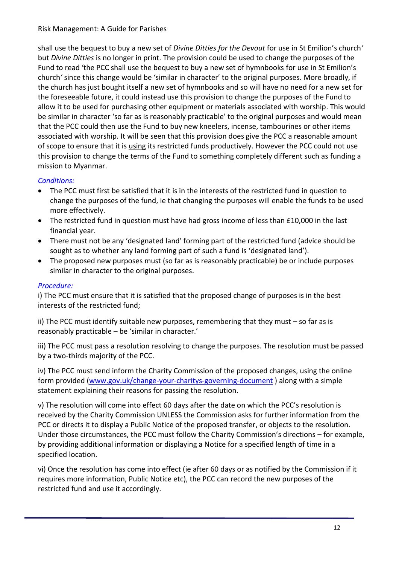shall use the bequest to buy a new set of *Divine Ditties for the Devout* for use in St Emilion's church*'* but *Divine Ditties* is no longer in print. The provision could be used to change the purposes of the Fund to read 'the PCC shall use the bequest to buy a new set of hymnbooks for use in St Emilion's church*'* since this change would be 'similar in character' to the original purposes. More broadly, if the church has just bought itself a new set of hymnbooks and so will have no need for a new set for the foreseeable future, it could instead use this provision to change the purposes of the Fund to allow it to be used for purchasing other equipment or materials associated with worship. This would be similar in character 'so far as is reasonably practicable' to the original purposes and would mean that the PCC could then use the Fund to buy new kneelers, incense, tambourines or other items associated with worship. It will be seen that this provision does give the PCC a reasonable amount of scope to ensure that it is using its restricted funds productively. However the PCC could not use this provision to change the terms of the Fund to something completely different such as funding a mission to Myanmar.

### *Conditions:*

- The PCC must first be satisfied that it is in the interests of the restricted fund in question to change the purposes of the fund, ie that changing the purposes will enable the funds to be used more effectively.
- The restricted fund in question must have had gross income of less than £10,000 in the last financial year.
- There must not be any 'designated land' forming part of the restricted fund (advice should be sought as to whether any land forming part of such a fund is 'designated land').
- The proposed new purposes must (so far as is reasonably practicable) be or include purposes similar in character to the original purposes.

### *Procedure:*

i) The PCC must ensure that it is satisfied that the proposed change of purposes is in the best interests of the restricted fund;

ii) The PCC must identify suitable new purposes, remembering that they must – so far as is reasonably practicable – be 'similar in character.'

iii) The PCC must pass a resolution resolving to change the purposes. The resolution must be passed by a two-thirds majority of the PCC.

iv) The PCC must send inform the Charity Commission of the proposed changes, using the online form provided [\(www.gov.uk/change-your-charitys-governing-document](http://www.gov.uk/change-your-charitys-governing-document) ) along with a simple statement explaining their reasons for passing the resolution.

v) The resolution will come into effect 60 days after the date on which the PCC's resolution is received by the Charity Commission UNLESS the Commission asks for further information from the PCC or directs it to display a Public Notice of the proposed transfer, or objects to the resolution. Under those circumstances, the PCC must follow the Charity Commission's directions – for example, by providing additional information or displaying a Notice for a specified length of time in a specified location.

vi) Once the resolution has come into effect (ie after 60 days or as notified by the Commission if it requires more information, Public Notice etc), the PCC can record the new purposes of the restricted fund and use it accordingly.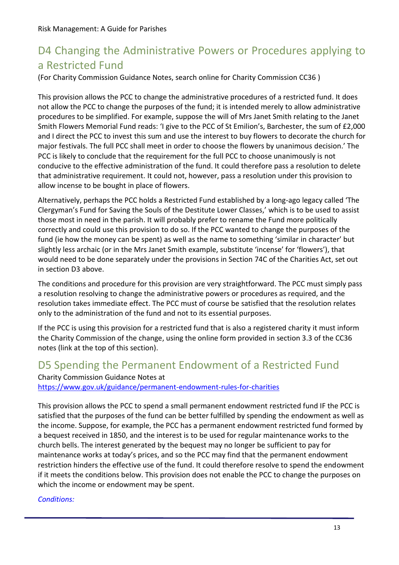# D4 Changing the Administrative Powers or Procedures applying to a Restricted Fund

(For Charity Commission Guidance Notes, search online for Charity Commission CC36 )

This provision allows the PCC to change the administrative procedures of a restricted fund. It does not allow the PCC to change the purposes of the fund; it is intended merely to allow administrative procedures to be simplified. For example, suppose the will of Mrs Janet Smith relating to the Janet Smith Flowers Memorial Fund reads: 'I give to the PCC of St Emilion's, Barchester, the sum of £2,000 and I direct the PCC to invest this sum and use the interest to buy flowers to decorate the church for major festivals. The full PCC shall meet in order to choose the flowers by unanimous decision.' The PCC is likely to conclude that the requirement for the full PCC to choose unanimously is not conducive to the effective administration of the fund. It could therefore pass a resolution to delete that administrative requirement. It could not, however, pass a resolution under this provision to allow incense to be bought in place of flowers.

Alternatively, perhaps the PCC holds a Restricted Fund established by a long-ago legacy called 'The Clergyman's Fund for Saving the Souls of the Destitute Lower Classes,' which is to be used to assist those most in need in the parish. It will probably prefer to rename the Fund more politically correctly and could use this provision to do so. If the PCC wanted to change the purposes of the fund (ie how the money can be spent) as well as the name to something 'similar in character' but slightly less archaic (or in the Mrs Janet Smith example, substitute 'incense' for 'flowers'), that would need to be done separately under the provisions in Section 74C of the Charities Act, set out in section D3 above.

The conditions and procedure for this provision are very straightforward. The PCC must simply pass a resolution resolving to change the administrative powers or procedures as required, and the resolution takes immediate effect. The PCC must of course be satisfied that the resolution relates only to the administration of the fund and not to its essential purposes.

If the PCC is using this provision for a restricted fund that is also a registered charity it must inform the Charity Commission of the change, using the online form provided in section 3.3 of the CC36 notes (link at the top of this section).

### D5 Spending the Permanent Endowment of a Restricted Fund Charity Commission Guidance Notes at <https://www.gov.uk/guidance/permanent-endowment-rules-for-charities>

This provision allows the PCC to spend a small permanent endowment restricted fund IF the PCC is satisfied that the purposes of the fund can be better fulfilled by spending the endowment as well as the income. Suppose, for example, the PCC has a permanent endowment restricted fund formed by a bequest received in 1850, and the interest is to be used for regular maintenance works to the church bells. The interest generated by the bequest may no longer be sufficient to pay for maintenance works at today's prices, and so the PCC may find that the permanent endowment restriction hinders the effective use of the fund. It could therefore resolve to spend the endowment if it meets the conditions below. This provision does not enable the PCC to change the purposes on which the income or endowment may be spent.

### *Conditions:*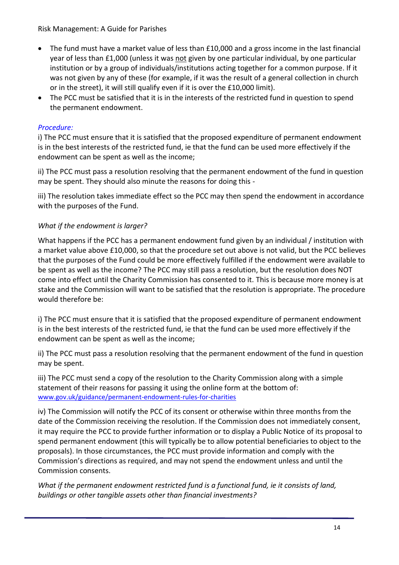- The fund must have a market value of less than £10,000 and a gross income in the last financial year of less than £1,000 (unless it was not given by one particular individual, by one particular institution or by a group of individuals/institutions acting together for a common purpose. If it was not given by any of these (for example, if it was the result of a general collection in church or in the street), it will still qualify even if it is over the £10,000 limit).
- The PCC must be satisfied that it is in the interests of the restricted fund in question to spend the permanent endowment.

### *Procedure:*

i) The PCC must ensure that it is satisfied that the proposed expenditure of permanent endowment is in the best interests of the restricted fund, ie that the fund can be used more effectively if the endowment can be spent as well as the income;

ii) The PCC must pass a resolution resolving that the permanent endowment of the fund in question may be spent. They should also minute the reasons for doing this -

iii) The resolution takes immediate effect so the PCC may then spend the endowment in accordance with the purposes of the Fund.

### *What if the endowment is larger?*

What happens if the PCC has a permanent endowment fund given by an individual / institution with a market value above £10,000, so that the procedure set out above is not valid, but the PCC believes that the purposes of the Fund could be more effectively fulfilled if the endowment were available to be spent as well as the income? The PCC may still pass a resolution, but the resolution does NOT come into effect until the Charity Commission has consented to it. This is because more money is at stake and the Commission will want to be satisfied that the resolution is appropriate. The procedure would therefore be:

i) The PCC must ensure that it is satisfied that the proposed expenditure of permanent endowment is in the best interests of the restricted fund, ie that the fund can be used more effectively if the endowment can be spent as well as the income;

ii) The PCC must pass a resolution resolving that the permanent endowment of the fund in question may be spent.

iii) The PCC must send a copy of the resolution to the Charity Commission along with a simple statement of their reasons for passing it using the online form at the bottom of: [www.gov.uk/guidance/permanent-endowment-rules-for-charities](http://www.gov.uk/guidance/permanent-endowment-rules-for-charities)

iv) The Commission will notify the PCC of its consent or otherwise within three months from the date of the Commission receiving the resolution. If the Commission does not immediately consent, it may require the PCC to provide further information or to display a Public Notice of its proposal to spend permanent endowment (this will typically be to allow potential beneficiaries to object to the proposals). In those circumstances, the PCC must provide information and comply with the Commission's directions as required, and may not spend the endowment unless and until the Commission consents.

*What if the permanent endowment restricted fund is a functional fund, ie it consists of land, buildings or other tangible assets other than financial investments?*